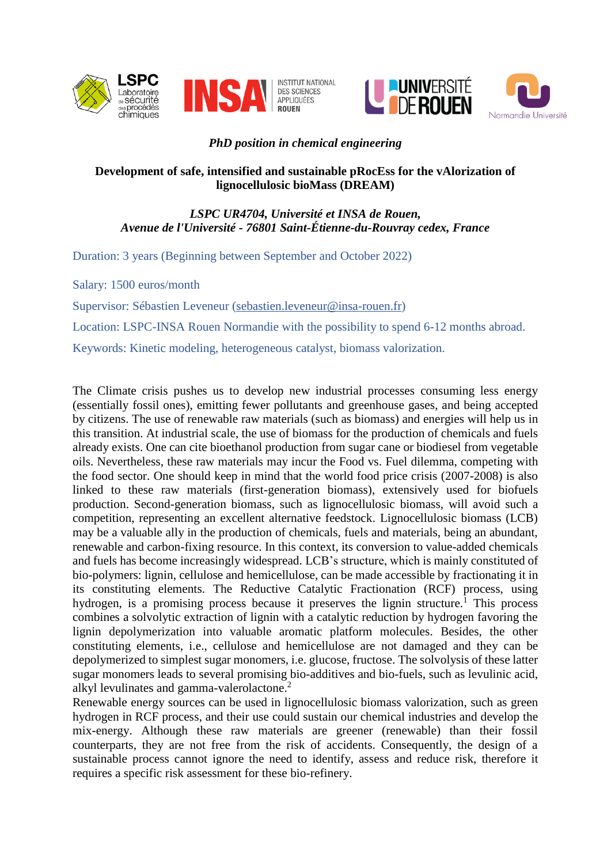



INSTITUT NATIONAL<br>DES SCIENCES<br>APPLIQUÉES **ROUEN** 





# *PhD position in chemical engineering*

### **Development of safe, intensified and sustainable pRocEss for the vAlorization of lignocellulosic bioMass (DREAM)**

## *LSPC UR4704, Université et INSA de Rouen, Avenue de l'Université - 76801 Saint-Étienne-du-Rouvray cedex, France*

Duration: 3 years (Beginning between September and October 2022)

Salary: 1500 euros/month

Supervisor: Sébastien Leveneur [\(sebastien.leveneur@insa-rouen.fr\)](mailto:sebastien.leveneur@insa-rouen.fr)

Location: LSPC-INSA Rouen Normandie with the possibility to spend 6-12 months abroad.

Keywords: Kinetic modeling, heterogeneous catalyst, biomass valorization.

The Climate crisis pushes us to develop new industrial processes consuming less energy (essentially fossil ones), emitting fewer pollutants and greenhouse gases, and being accepted by citizens. The use of renewable raw materials (such as biomass) and energies will help us in this transition. At industrial scale, the use of biomass for the production of chemicals and fuels already exists. One can cite bioethanol production from sugar cane or biodiesel from vegetable oils. Nevertheless, these raw materials may incur the Food vs. Fuel dilemma, competing with the food sector. One should keep in mind that the world food price crisis (2007-2008) is also linked to these raw materials (first-generation biomass), extensively used for biofuels production. Second-generation biomass, such as lignocellulosic biomass, will avoid such a competition, representing an excellent alternative feedstock. Lignocellulosic biomass (LCB) may be a valuable ally in the production of chemicals, fuels and materials, being an abundant, renewable and carbon-fixing resource. In this context, its conversion to value-added chemicals and fuels has become increasingly widespread. LCB's structure, which is mainly constituted of bio-polymers: lignin, cellulose and hemicellulose, can be made accessible by fractionating it in its constituting elements. The Reductive Catalytic Fractionation (RCF) process, using hydrogen, is a promising process because it preserves the lignin structure.<sup>1</sup> This process combines a solvolytic extraction of lignin with a catalytic reduction by hydrogen favoring the lignin depolymerization into valuable aromatic platform molecules. Besides, the other constituting elements, i.e., cellulose and hemicellulose are not damaged and they can be depolymerized to simplest sugar monomers, i.e. glucose, fructose. The solvolysis of these latter sugar monomers leads to several promising bio-additives and bio-fuels, such as levulinic acid, alkyl levulinates and gamma-valerolactone.<sup>2</sup>

Renewable energy sources can be used in lignocellulosic biomass valorization, such as green hydrogen in RCF process, and their use could sustain our chemical industries and develop the mix-energy. Although these raw materials are greener (renewable) than their fossil counterparts, they are not free from the risk of accidents. Consequently, the design of a sustainable process cannot ignore the need to identify, assess and reduce risk, therefore it requires a specific risk assessment for these bio-refinery.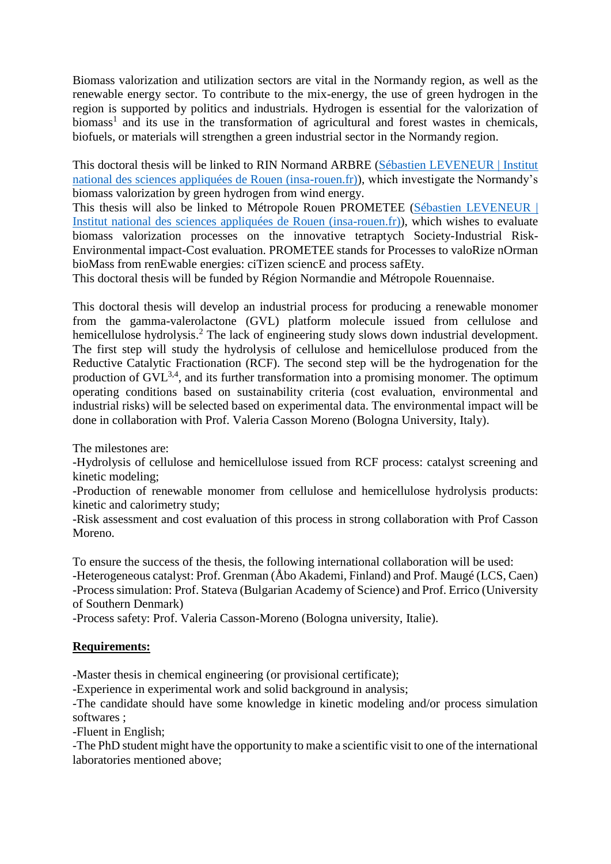Biomass valorization and utilization sectors are vital in the Normandy region, as well as the renewable energy sector. To contribute to the mix-energy, the use of green hydrogen in the region is supported by politics and industrials. Hydrogen is essential for the valorization of biomass<sup>1</sup> and its use in the transformation of agricultural and forest wastes in chemicals, biofuels, or materials will strengthen a green industrial sector in the Normandy region.

This doctoral thesis will be linked to RIN Normand ARBRE [\(Sébastien LEVENEUR | Institut](https://www.insa-rouen.fr/recherche/chercheurs/sleveneur)  [national des sciences appliquées de Rouen \(insa-rouen.fr\)\)](https://www.insa-rouen.fr/recherche/chercheurs/sleveneur), which investigate the Normandy's biomass valorization by green hydrogen from wind energy.

This thesis will also be linked to Métropole Rouen PROMETEE [\(Sébastien LEVENEUR |](https://www.insa-rouen.fr/recherche/chercheurs/sleveneur)  [Institut national des sciences appliquées de Rouen \(insa-rouen.fr\)\)](https://www.insa-rouen.fr/recherche/chercheurs/sleveneur), which wishes to evaluate biomass valorization processes on the innovative tetraptych Society-Industrial Risk-Environmental impact-Cost evaluation. PROMETEE stands for Processes to valoRize nOrman bioMass from renEwable energies: ciTizen sciencE and process safEty.

This doctoral thesis will be funded by Région Normandie and Métropole Rouennaise.

This doctoral thesis will develop an industrial process for producing a renewable monomer from the gamma-valerolactone (GVL) platform molecule issued from cellulose and hemicellulose hydrolysis.<sup>2</sup> The lack of engineering study slows down industrial development. The first step will study the hydrolysis of cellulose and hemicellulose produced from the Reductive Catalytic Fractionation (RCF). The second step will be the hydrogenation for the production of  $\text{GVL}^{3,4}$ , and its further transformation into a promising monomer. The optimum operating conditions based on sustainability criteria (cost evaluation, environmental and industrial risks) will be selected based on experimental data. The environmental impact will be done in collaboration with Prof. Valeria Casson Moreno (Bologna University, Italy).

The milestones are:

-Hydrolysis of cellulose and hemicellulose issued from RCF process: catalyst screening and kinetic modeling;

-Production of renewable monomer from cellulose and hemicellulose hydrolysis products: kinetic and calorimetry study;

-Risk assessment and cost evaluation of this process in strong collaboration with Prof Casson Moreno.

To ensure the success of the thesis, the following international collaboration will be used:

-Heterogeneous catalyst: Prof. Grenman (Åbo Akademi, Finland) and Prof. Maugé (LCS, Caen) -Process simulation: Prof. Stateva (Bulgarian Academy of Science) and Prof. Errico (University of Southern Denmark)

-Process safety: Prof. Valeria Casson-Moreno (Bologna university, Italie).

### **Requirements:**

-Master thesis in chemical engineering (or provisional certificate);

-Experience in experimental work and solid background in analysis;

-The candidate should have some knowledge in kinetic modeling and/or process simulation softwares ;

-Fluent in English;

-The PhD student might have the opportunity to make a scientific visit to one of the international laboratories mentioned above;